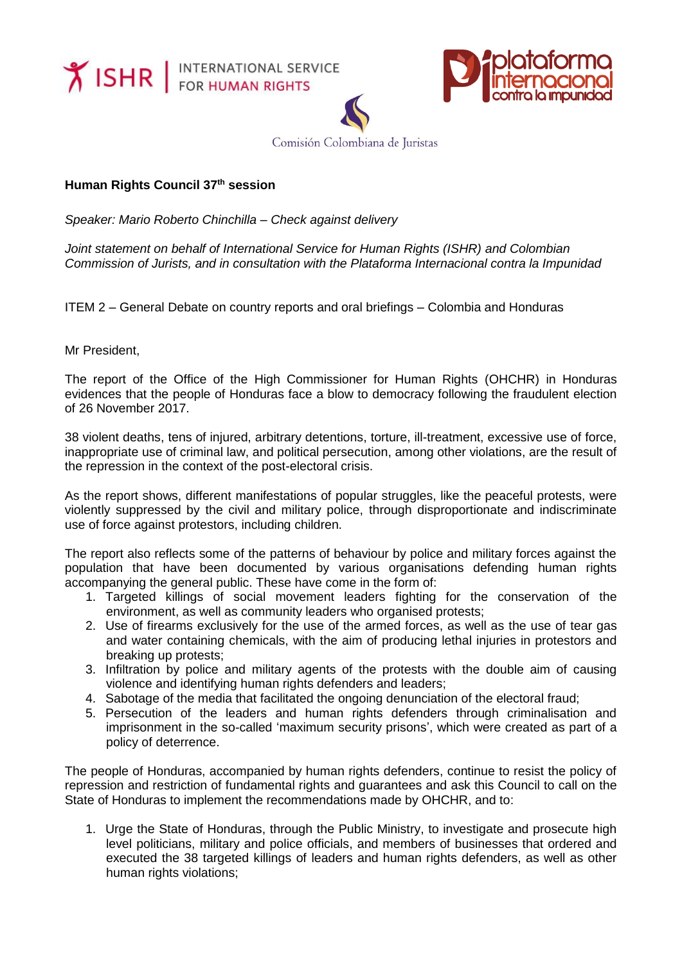**Y ISHR** FOR HUMAN RIGHTS





Comisión Colombiana de Juristas

## **Human Rights Council 37th session**

*Speaker: Mario Roberto Chinchilla – Check against delivery*

*Joint statement on behalf of International Service for Human Rights (ISHR) and Colombian Commission of Jurists, and in consultation with the Plataforma Internacional contra la Impunidad*

ITEM 2 – General Debate on country reports and oral briefings – Colombia and Honduras

Mr President,

The report of the Office of the High Commissioner for Human Rights (OHCHR) in Honduras evidences that the people of Honduras face a blow to democracy following the fraudulent election of 26 November 2017.

38 violent deaths, tens of injured, arbitrary detentions, torture, ill-treatment, excessive use of force, inappropriate use of criminal law, and political persecution, among other violations, are the result of the repression in the context of the post-electoral crisis.

As the report shows, different manifestations of popular struggles, like the peaceful protests, were violently suppressed by the civil and military police, through disproportionate and indiscriminate use of force against protestors, including children.

The report also reflects some of the patterns of behaviour by police and military forces against the population that have been documented by various organisations defending human rights accompanying the general public. These have come in the form of:

- 1. Targeted killings of social movement leaders fighting for the conservation of the environment, as well as community leaders who organised protests;
- 2. Use of firearms exclusively for the use of the armed forces, as well as the use of tear gas and water containing chemicals, with the aim of producing lethal injuries in protestors and breaking up protests;
- 3. Infiltration by police and military agents of the protests with the double aim of causing violence and identifying human rights defenders and leaders;
- 4. Sabotage of the media that facilitated the ongoing denunciation of the electoral fraud;
- 5. Persecution of the leaders and human rights defenders through criminalisation and imprisonment in the so-called 'maximum security prisons', which were created as part of a policy of deterrence.

The people of Honduras, accompanied by human rights defenders, continue to resist the policy of repression and restriction of fundamental rights and guarantees and ask this Council to call on the State of Honduras to implement the recommendations made by OHCHR, and to:

1. Urge the State of Honduras, through the Public Ministry, to investigate and prosecute high level politicians, military and police officials, and members of businesses that ordered and executed the 38 targeted killings of leaders and human rights defenders, as well as other human rights violations;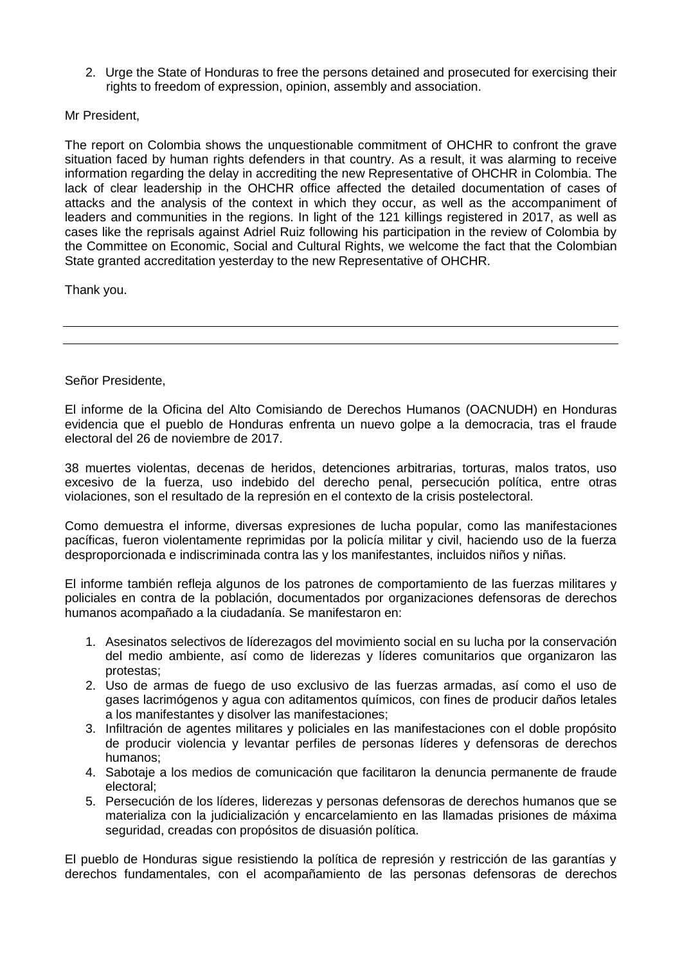2. Urge the State of Honduras to free the persons detained and prosecuted for exercising their rights to freedom of expression, opinion, assembly and association.

Mr President,

The report on Colombia shows the unquestionable commitment of OHCHR to confront the grave situation faced by human rights defenders in that country. As a result, it was alarming to receive information regarding the delay in accrediting the new Representative of OHCHR in Colombia. The lack of clear leadership in the OHCHR office affected the detailed documentation of cases of attacks and the analysis of the context in which they occur, as well as the accompaniment of leaders and communities in the regions. In light of the 121 killings registered in 2017, as well as cases like the reprisals against Adriel Ruiz following his participation in the review of Colombia by the Committee on Economic, Social and Cultural Rights, we welcome the fact that the Colombian State granted accreditation yesterday to the new Representative of OHCHR.

Thank you.

Señor Presidente,

El informe de la Oficina del Alto Comisiando de Derechos Humanos (OACNUDH) en Honduras evidencia que el pueblo de Honduras enfrenta un nuevo golpe a la democracia, tras el fraude electoral del 26 de noviembre de 2017.

38 muertes violentas, decenas de heridos, detenciones arbitrarias, torturas, malos tratos, uso excesivo de la fuerza, uso indebido del derecho penal, persecución política, entre otras violaciones, son el resultado de la represión en el contexto de la crisis postelectoral.

Como demuestra el informe, diversas expresiones de lucha popular, como las manifestaciones pacíficas, fueron violentamente reprimidas por la policía militar y civil, haciendo uso de la fuerza desproporcionada e indiscriminada contra las y los manifestantes, incluidos niños y niñas.

El informe también refleja algunos de los patrones de comportamiento de las fuerzas militares y policiales en contra de la población, documentados por organizaciones defensoras de derechos humanos acompañado a la ciudadanía. Se manifestaron en:

- 1. Asesinatos selectivos de líderezagos del movimiento social en su lucha por la conservación del medio ambiente, así como de liderezas y líderes comunitarios que organizaron las protestas;
- 2. Uso de armas de fuego de uso exclusivo de las fuerzas armadas, así como el uso de gases lacrimógenos y agua con aditamentos químicos, con fines de producir daños letales a los manifestantes y disolver las manifestaciones;
- 3. Infiltración de agentes militares y policiales en las manifestaciones con el doble propósito de producir violencia y levantar perfiles de personas líderes y defensoras de derechos humanos;
- 4. Sabotaje a los medios de comunicación que facilitaron la denuncia permanente de fraude electoral;
- 5. Persecución de los líderes, liderezas y personas defensoras de derechos humanos que se materializa con la judicialización y encarcelamiento en las llamadas prisiones de máxima seguridad, creadas con propósitos de disuasión política.

El pueblo de Honduras sigue resistiendo la política de represión y restricción de las garantías y derechos fundamentales, con el acompañamiento de las personas defensoras de derechos